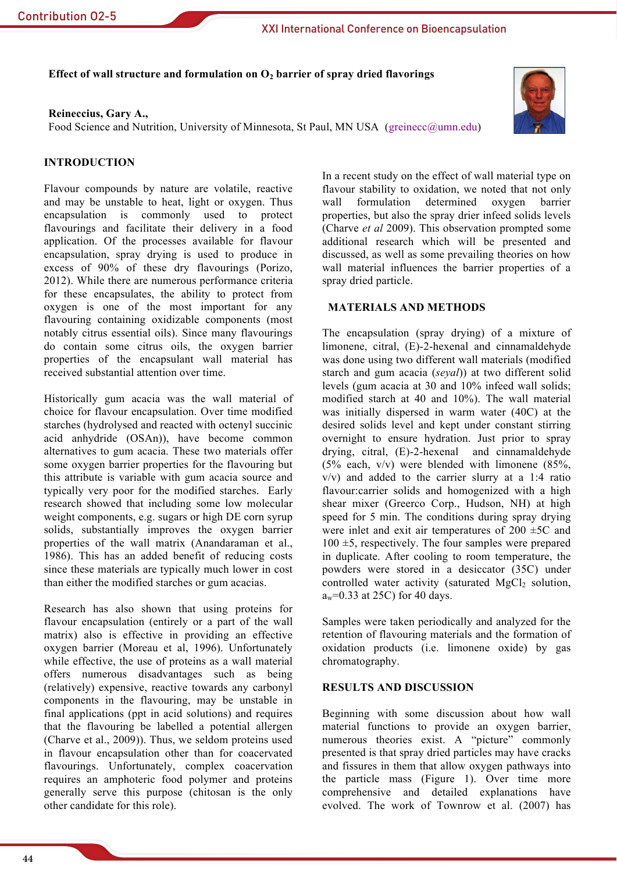Effect of wall structure and formulation on  $O_2$  barrier of spray dried flavorings

## Reineccius, Gary A.,

Food Science and Nutrition, University of Minnesota, St Paul, MN USA (greinecc@umn.edu)



# **INTRODUCTION**

Flavour compounds by nature are volatile, reactive and may be unstable to heat, light or oxygen. Thus encapsulation is commonly used to protect flavourings and facilitate their delivery in a food application. Of the processes available for flavour encapsulation, spray drying is used to produce in excess of 90% of these dry flavourings (Porizo, 2012). While there are numerous performance criteria for these encapsulates, the ability to protect from oxygen is one of the most important for any flavouring containing oxidizable components (most notably citrus essential oils). Since many flavourings do contain some citrus oils, the oxygen barrier properties of the encapsulant wall material has received substantial attention over time.

Historically gum acacia was the wall material of choice for flavour encapsulation. Over time modified starches (hydrolysed and reacted with octenyl succinic acid anhydride (OSAn)), have become common alternatives to gum acacia. These two materials offer some oxygen barrier properties for the flavouring but this attribute is variable with gum acacia source and typically very poor for the modified starches. Early research showed that including some low molecular weight components, e.g. sugars or high DE corn syrup solids, substantially improves the oxygen barrier properties of the wall matrix (Anandaraman et al., 1986). This has an added benefit of reducing costs since these materials are typically much lower in cost than either the modified starches or gum acacias.

Research has also shown that using proteins for flavour encapsulation (entirely or a part of the wall matrix) also is effective in providing an effective oxygen barrier (Moreau et al, 1996). Unfortunately while effective, the use of proteins as a wall material offers numerous disadvantages such as being (relatively) expensive, reactive towards any carbonyl components in the flavouring, may be unstable in final applications (ppt in acid solutions) and requires that the flavouring be labelled a potential allergen (Charve et al., 2009)). Thus, we seldom proteins used in flavour encapsulation other than for coacervated flavourings. Unfortunately, complex coacervation requires an amphoteric food polymer and proteins generally serve this purpose (chitosan is the only other candidate for this role).

In a recent study on the effect of wall material type on flavour stability to oxidation, we noted that not only formulation determined oxygen barrier wall properties, but also the spray drier infeed solids levels (Charve et al 2009). This observation prompted some additional research which will be presented and discussed, as well as some prevailing theories on how wall material influences the barrier properties of a spray dried particle.

## **MATERIALS AND METHODS**

The encapsulation (spray drying) of a mixture of limonene, citral, (E)-2-hexenal and cinnamaldehyde was done using two different wall materials (modified starch and gum acacia (seval)) at two different solid levels (gum acacia at 30 and 10% infeed wall solids; modified starch at 40 and 10%). The wall material was initially dispersed in warm water (40C) at the desired solids level and kept under constant stirring overnight to ensure hydration. Just prior to spray drying, citral,  $(E)$ -2-hexenal and cinnamaldehyde  $(5\%$  each,  $v/v$ ) were blended with limonene  $(85\%$ ,  $v/v$ ) and added to the carrier slurry at a 1:4 ratio flavour: carrier solids and homogenized with a high shear mixer (Greerco Corp., Hudson, NH) at high speed for 5 min. The conditions during spray drying were inlet and exit air temperatures of  $200 \pm 5C$  and  $100 \pm 5$ , respectively. The four samples were prepared in duplicate. After cooling to room temperature, the powders were stored in a desiccator (35C) under controlled water activity (saturated MgCl<sub>2</sub> solution,  $a_w = 0.33$  at 25C) for 40 days.

Samples were taken periodically and analyzed for the retention of flavouring materials and the formation of oxidation products (i.e. limonene oxide) by gas chromatography.

### **RESULTS AND DISCUSSION**

Beginning with some discussion about how wall material functions to provide an oxygen barrier, numerous theories exist. A "picture" commonly presented is that spray dried particles may have cracks and fissures in them that allow oxygen pathways into the particle mass (Figure 1). Over time more comprehensive and detailed explanations have evolved. The work of Townrow et al. (2007) has